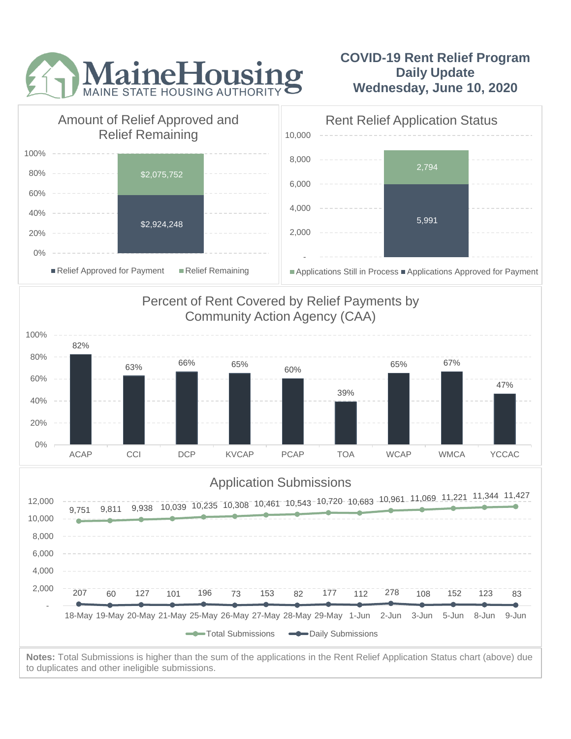

## **COVID-19 Rent Relief Program Daily Update Wednesday, June 10, 2020**



to duplicates and other ineligible submissions.